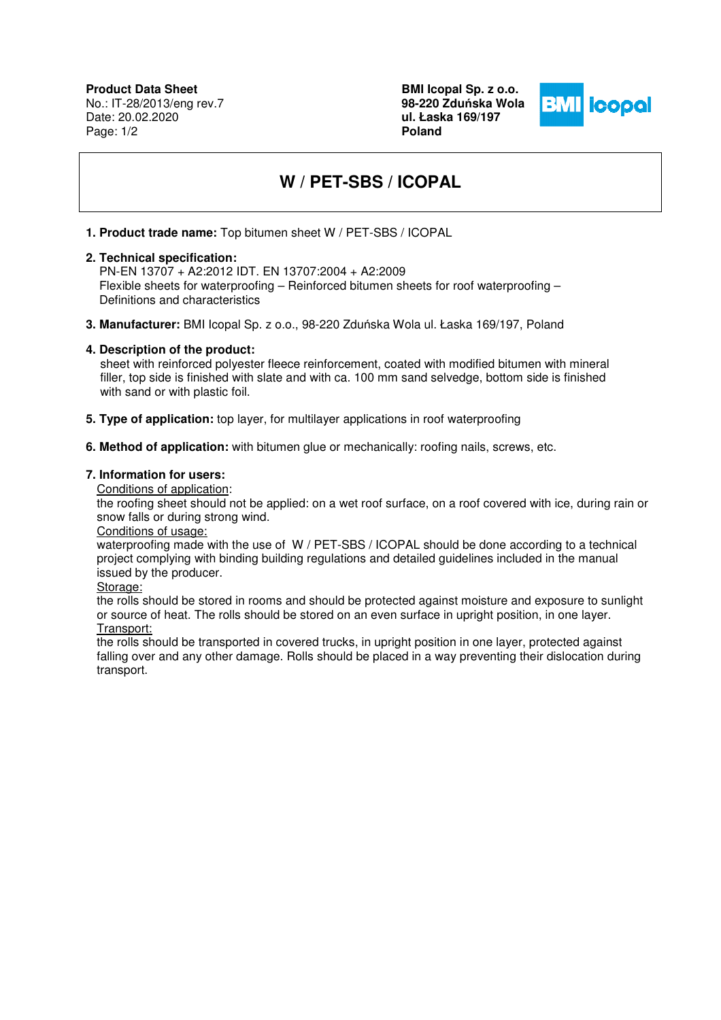**Product Data Sheet** No.: IT-28/2013/eng rev.7 Date: 20.02.2020 Page: 1/2

**BMI Icopal Sp. z o.o. 98-220 Zdu**ń**ska Wola ul. Łaska 169/197 Poland** 



# **W / PET-SBS / ICOPAL**

**1. Product trade name:** Top bitumen sheet W / PET-SBS / ICOPAL

## **2. Technical specification:**

PN-EN 13707 + A2:2012 IDT. EN 13707:2004 + A2:2009 Flexible sheets for waterproofing – Reinforced bitumen sheets for roof waterproofing – Definitions and characteristics

**3. Manufacturer:** BMI Icopal Sp. z o.o., 98-220 Zduńska Wola ul. Łaska 169/197, Poland

# **4. Description of the product:**

 sheet with reinforced polyester fleece reinforcement, coated with modified bitumen with mineral filler, top side is finished with slate and with ca. 100 mm sand selvedge, bottom side is finished with sand or with plastic foil.

- **5. Type of application:** top layer, for multilayer applications in roof waterproofing
- **6. Method of application:** with bitumen glue or mechanically: roofing nails, screws, etc.

### **7. Information for users:**

Conditions of application:

the roofing sheet should not be applied: on a wet roof surface, on a roof covered with ice, during rain or snow falls or during strong wind.

#### Conditions of usage:

waterproofing made with the use of W / PET-SBS / ICOPAL should be done according to a technical project complying with binding building regulations and detailed guidelines included in the manual issued by the producer.

#### Storage:

the rolls should be stored in rooms and should be protected against moisture and exposure to sunlight or source of heat. The rolls should be stored on an even surface in upright position, in one layer.

# Transport:

the rolls should be transported in covered trucks, in upright position in one layer, protected against falling over and any other damage. Rolls should be placed in a way preventing their dislocation during transport.